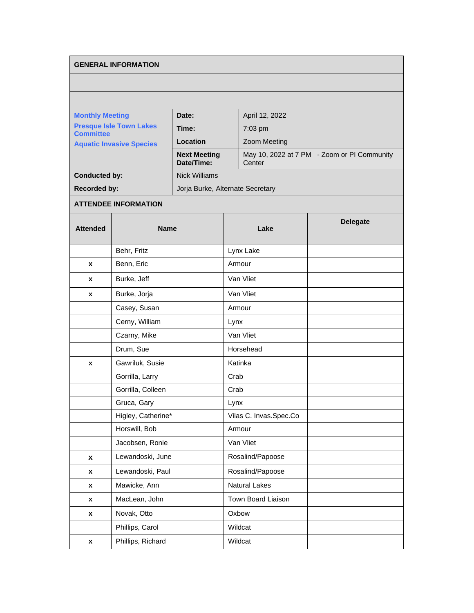## **GENERAL INFORMATION**

| <b>Monthly Meeting</b><br><b>Presque Isle Town Lakes</b><br><b>Committee</b><br><b>Aquatic Invasive Species</b> | Date:                             | April 12, 2022                                        |  |
|-----------------------------------------------------------------------------------------------------------------|-----------------------------------|-------------------------------------------------------|--|
|                                                                                                                 | Time:                             | $7:03$ pm                                             |  |
|                                                                                                                 | Location                          | <b>Zoom Meeting</b>                                   |  |
|                                                                                                                 | <b>Next Meeting</b><br>Date/Time: | May 10, 2022 at 7 PM - Zoom or PI Community<br>Center |  |
| <b>Conducted by:</b>                                                                                            | Nick Williams                     |                                                       |  |
| <b>Recorded by:</b>                                                                                             | Joria Burke, Alternate Secretary  |                                                       |  |

## **ATTENDEE INFORMATION**

| <b>Attended</b> | <b>Name</b>        | Lake                   | <b>Delegate</b> |
|-----------------|--------------------|------------------------|-----------------|
|                 | Behr, Fritz        | Lynx Lake              |                 |
| x               | Benn, Eric         | Armour                 |                 |
| X               | Burke, Jeff        | Van Vliet              |                 |
| x               | Burke, Jorja       | Van Vliet              |                 |
|                 | Casey, Susan       | Armour                 |                 |
|                 | Cerny, William     | Lynx                   |                 |
|                 | Czarny, Mike       | Van Vliet              |                 |
|                 | Drum, Sue          | Horsehead              |                 |
| X               | Gawriluk, Susie    | Katinka                |                 |
|                 | Gorrilla, Larry    | Crab                   |                 |
|                 | Gorrilla, Colleen  | Crab                   |                 |
|                 | Gruca, Gary        | Lynx                   |                 |
|                 | Higley, Catherine* | Vilas C. Invas.Spec.Co |                 |
|                 | Horswill, Bob      | Armour                 |                 |
|                 | Jacobsen, Ronie    | Van Vliet              |                 |
| $\mathbf{x}$    | Lewandoski, June   | Rosalind/Papoose       |                 |
| X               | Lewandoski, Paul   | Rosalind/Papoose       |                 |
| X               | Mawicke, Ann       | <b>Natural Lakes</b>   |                 |
| X               | MacLean, John      | Town Board Liaison     |                 |
| X               | Novak, Otto        | Oxbow                  |                 |
|                 | Phillips, Carol    | Wildcat                |                 |
| X               | Phillips, Richard  | Wildcat                |                 |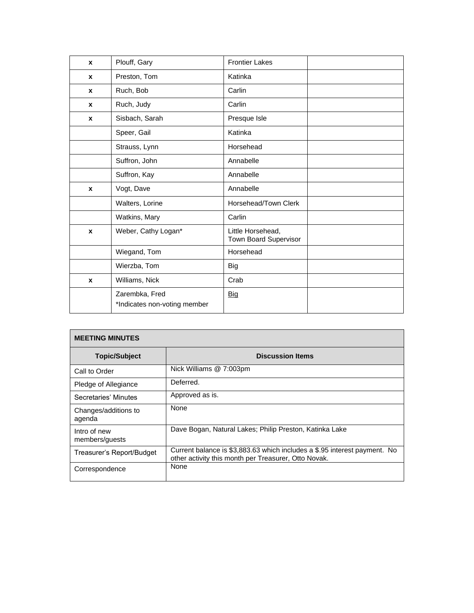| $\mathbf{x}$ | Plouff, Gary                                   | <b>Frontier Lakes</b>                      |  |
|--------------|------------------------------------------------|--------------------------------------------|--|
| $\mathbf{x}$ | Preston, Tom                                   | Katinka                                    |  |
| $\mathbf x$  | Ruch, Bob                                      | Carlin                                     |  |
| $\mathbf{x}$ | Ruch, Judy                                     | Carlin                                     |  |
| $\mathbf{x}$ | Sisbach, Sarah                                 | Presque Isle                               |  |
|              | Speer, Gail                                    | Katinka                                    |  |
|              | Strauss, Lynn                                  | Horsehead                                  |  |
|              | Suffron, John                                  | Annabelle                                  |  |
|              | Suffron, Kay                                   | Annabelle                                  |  |
| $\mathbf{x}$ | Vogt, Dave                                     | Annabelle                                  |  |
|              | Walters, Lorine                                | Horsehead/Town Clerk                       |  |
|              | Watkins, Mary                                  | Carlin                                     |  |
| $\mathbf{x}$ | Weber, Cathy Logan*                            | Little Horsehead,<br>Town Board Supervisor |  |
|              | Wiegand, Tom                                   | Horsehead                                  |  |
|              | Wierzba, Tom                                   | <b>Big</b>                                 |  |
| $\mathbf{x}$ | Williams, Nick                                 | Crab                                       |  |
|              | Zarembka, Fred<br>*Indicates non-voting member | <b>Big</b>                                 |  |

| <b>MEETING MINUTES</b>         |                                                                                                                                   |
|--------------------------------|-----------------------------------------------------------------------------------------------------------------------------------|
| <b>Topic/Subject</b>           | <b>Discussion Items</b>                                                                                                           |
| Call to Order                  | Nick Williams @ 7:003pm                                                                                                           |
| Pledge of Allegiance           | Deferred.                                                                                                                         |
| Secretaries' Minutes           | Approved as is.                                                                                                                   |
| Changes/additions to<br>agenda | None                                                                                                                              |
| Intro of new<br>members/guests | Dave Bogan, Natural Lakes; Philip Preston, Katinka Lake                                                                           |
| Treasurer's Report/Budget      | Current balance is \$3,883.63 which includes a \$.95 interest payment. No<br>other activity this month per Treasurer, Otto Novak. |
| Correspondence                 | None                                                                                                                              |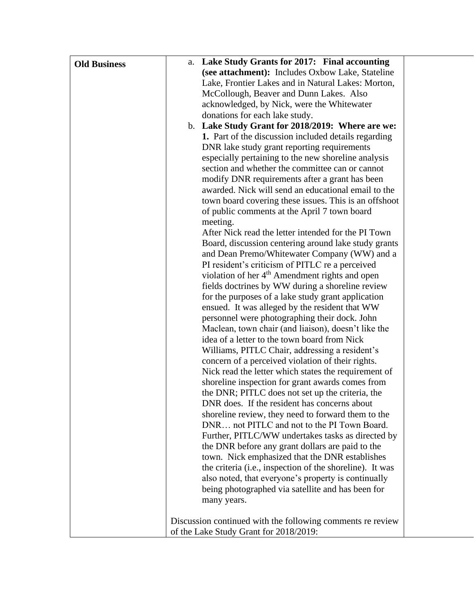| <b>Old Business</b> | a. Lake Study Grants for 2017: Final accounting                                                  |
|---------------------|--------------------------------------------------------------------------------------------------|
|                     | (see attachment): Includes Oxbow Lake, Stateline                                                 |
|                     | Lake, Frontier Lakes and in Natural Lakes: Morton,                                               |
|                     | McCollough, Beaver and Dunn Lakes. Also                                                          |
|                     | acknowledged, by Nick, were the Whitewater                                                       |
|                     | donations for each lake study.                                                                   |
|                     | b. Lake Study Grant for 2018/2019: Where are we:                                                 |
|                     | 1. Part of the discussion included details regarding                                             |
|                     | DNR lake study grant reporting requirements                                                      |
|                     | especially pertaining to the new shoreline analysis                                              |
|                     | section and whether the committee can or cannot                                                  |
|                     | modify DNR requirements after a grant has been                                                   |
|                     | awarded. Nick will send an educational email to the                                              |
|                     | town board covering these issues. This is an offshoot                                            |
|                     | of public comments at the April 7 town board                                                     |
|                     | meeting.                                                                                         |
|                     | After Nick read the letter intended for the PI Town                                              |
|                     | Board, discussion centering around lake study grants                                             |
|                     | and Dean Premo/Whitewater Company (WW) and a                                                     |
|                     | PI resident's criticism of PITLC re a perceived                                                  |
|                     | violation of her 4 <sup>th</sup> Amendment rights and open                                       |
|                     | fields doctrines by WW during a shoreline review                                                 |
|                     | for the purposes of a lake study grant application                                               |
|                     | ensued. It was alleged by the resident that WW                                                   |
|                     | personnel were photographing their dock. John                                                    |
|                     | Maclean, town chair (and liaison), doesn't like the                                              |
|                     | idea of a letter to the town board from Nick                                                     |
|                     | Williams, PITLC Chair, addressing a resident's                                                   |
|                     | concern of a perceived violation of their rights.                                                |
|                     | Nick read the letter which states the requirement of                                             |
|                     | shoreline inspection for grant awards comes from                                                 |
|                     | the DNR; PITLC does not set up the criteria, the<br>DNR does. If the resident has concerns about |
|                     | shoreline review, they need to forward them to the                                               |
|                     | DNR not PITLC and not to the PI Town Board.                                                      |
|                     | Further, PITLC/WW undertakes tasks as directed by                                                |
|                     | the DNR before any grant dollars are paid to the                                                 |
|                     | town. Nick emphasized that the DNR establishes                                                   |
|                     | the criteria (i.e., inspection of the shoreline). It was                                         |
|                     | also noted, that everyone's property is continually                                              |
|                     | being photographed via satellite and has been for                                                |
|                     | many years.                                                                                      |
|                     |                                                                                                  |
|                     | Discussion continued with the following comments re review                                       |
|                     | of the Lake Study Grant for 2018/2019:                                                           |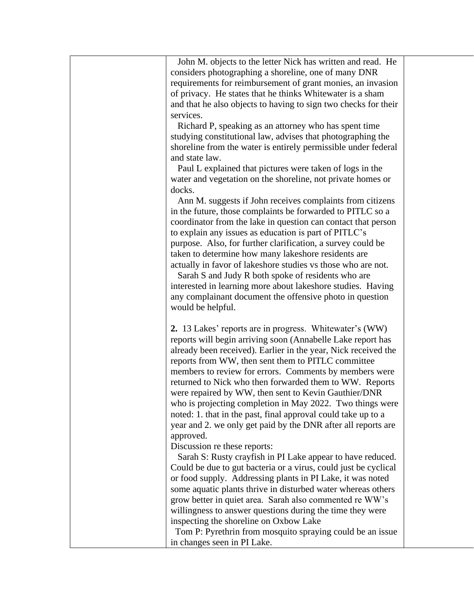| John M. objects to the letter Nick has written and read. He     |
|-----------------------------------------------------------------|
| considers photographing a shoreline, one of many DNR            |
| requirements for reimbursement of grant monies, an invasion     |
| of privacy. He states that he thinks Whitewater is a sham       |
| and that he also objects to having to sign two checks for their |
| services.                                                       |
| Richard P, speaking as an attorney who has spent time           |
| studying constitutional law, advises that photographing the     |
| shoreline from the water is entirely permissible under federal  |
| and state law.                                                  |
| Paul L explained that pictures were taken of logs in the        |
| water and vegetation on the shoreline, not private homes or     |
| docks.                                                          |
| Ann M. suggests if John receives complaints from citizens       |
| in the future, those complaints be forwarded to PITLC so a      |
| coordinator from the lake in question can contact that person   |
| to explain any issues as education is part of PITLC's           |
| purpose. Also, for further clarification, a survey could be     |
| taken to determine how many lakeshore residents are             |
| actually in favor of lakeshore studies vs those who are not.    |
| Sarah S and Judy R both spoke of residents who are              |
| interested in learning more about lakeshore studies. Having     |
| any complainant document the offensive photo in question        |
| would be helpful.                                               |
|                                                                 |
| 2. 13 Lakes' reports are in progress. Whitewater's (WW)         |
| reports will begin arriving soon (Annabelle Lake report has     |
| already been received). Earlier in the year, Nick received the  |
| reports from WW, then sent them to PITLC committee              |
| members to review for errors. Comments by members were          |
| returned to Nick who then forwarded them to WW. Reports         |
| were repaired by WW, then sent to Kevin Gauthier/DNR            |
| who is projecting completion in May 2022. Two things were       |
| noted: 1. that in the past, final approval could take up to a   |
| year and 2. we only get paid by the DNR after all reports are   |
| approved.                                                       |
| Discussion re these reports:                                    |
| Sarah S: Rusty crayfish in PI Lake appear to have reduced.      |
| Could be due to gut bacteria or a virus, could just be cyclical |
| or food supply. Addressing plants in PI Lake, it was noted      |
| some aquatic plants thrive in disturbed water whereas others    |
| grow better in quiet area. Sarah also commented re WW's         |
| willingness to answer questions during the time they were       |
| inspecting the shoreline on Oxbow Lake                          |
| Tom P: Pyrethrin from mosquito spraying could be an issue       |
| in changes seen in PI Lake.                                     |
|                                                                 |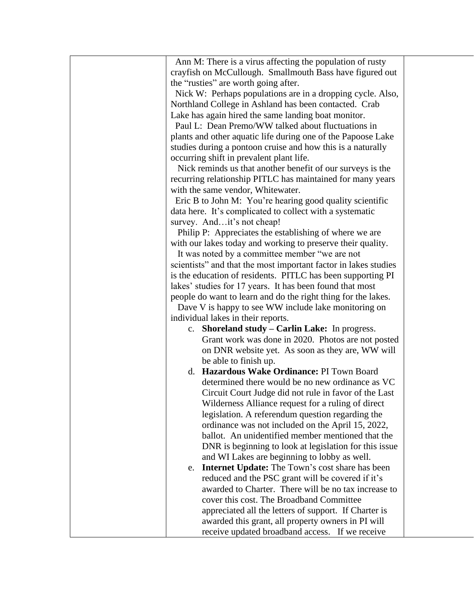| Ann M: There is a virus affecting the population of rusty       |  |
|-----------------------------------------------------------------|--|
| crayfish on McCullough. Smallmouth Bass have figured out        |  |
| the "rusties" are worth going after.                            |  |
| Nick W: Perhaps populations are in a dropping cycle. Also,      |  |
| Northland College in Ashland has been contacted. Crab           |  |
| Lake has again hired the same landing boat monitor.             |  |
| Paul L: Dean Premo/WW talked about fluctuations in              |  |
| plants and other aquatic life during one of the Papoose Lake    |  |
| studies during a pontoon cruise and how this is a naturally     |  |
| occurring shift in prevalent plant life.                        |  |
| Nick reminds us that another benefit of our surveys is the      |  |
| recurring relationship PITLC has maintained for many years      |  |
| with the same vendor, Whitewater.                               |  |
| Eric B to John M: You're hearing good quality scientific        |  |
| data here. It's complicated to collect with a systematic        |  |
| survey. Andit's not cheap!                                      |  |
| Philip P: Appreciates the establishing of where we are          |  |
| with our lakes today and working to preserve their quality.     |  |
| It was noted by a committee member "we are not                  |  |
| scientists" and that the most important factor in lakes studies |  |
| is the education of residents. PITLC has been supporting PI     |  |
| lakes' studies for 17 years. It has been found that most        |  |
| people do want to learn and do the right thing for the lakes.   |  |
| Dave V is happy to see WW include lake monitoring on            |  |
| individual lakes in their reports.                              |  |
| c. Shoreland study - Carlin Lake: In progress.                  |  |
| Grant work was done in 2020. Photos are not posted              |  |
| on DNR website yet. As soon as they are, WW will                |  |
| be able to finish up.                                           |  |
| d. Hazardous Wake Ordinance: PI Town Board                      |  |
| determined there would be no new ordinance as VC                |  |
| Circuit Court Judge did not rule in favor of the Last           |  |
| Wilderness Alliance request for a ruling of direct              |  |
| legislation. A referendum question regarding the                |  |
| ordinance was not included on the April 15, 2022,               |  |
| ballot. An unidentified member mentioned that the               |  |
| DNR is beginning to look at legislation for this issue          |  |
| and WI Lakes are beginning to lobby as well.                    |  |
| <b>Internet Update:</b> The Town's cost share has been<br>e.    |  |
| reduced and the PSC grant will be covered if it's               |  |
| awarded to Charter. There will be no tax increase to            |  |
| cover this cost. The Broadband Committee                        |  |
| appreciated all the letters of support. If Charter is           |  |
| awarded this grant, all property owners in PI will              |  |
| receive updated broadband access. If we receive                 |  |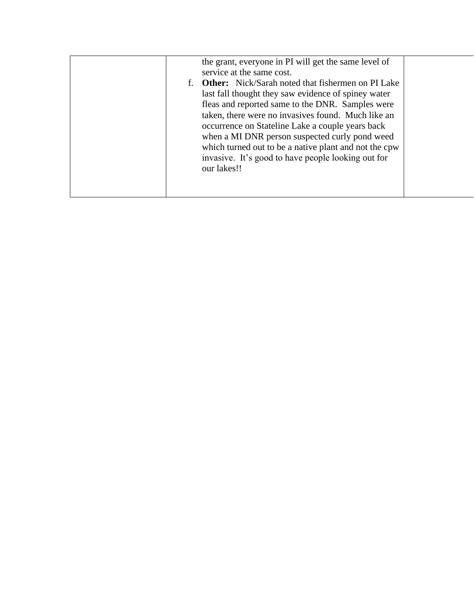|  | the grant, everyone in PI will get the same level of  |  |
|--|-------------------------------------------------------|--|
|  | service at the same cost.                             |  |
|  | f. Other: Nick/Sarah noted that fishermen on PI Lake  |  |
|  | last fall thought they saw evidence of spiney water   |  |
|  | fleas and reported same to the DNR. Samples were      |  |
|  | taken, there were no invasives found. Much like an    |  |
|  | occurrence on Stateline Lake a couple years back      |  |
|  | when a MI DNR person suspected curly pond weed        |  |
|  | which turned out to be a native plant and not the cpw |  |
|  | invasive. It's good to have people looking out for    |  |
|  | our lakes!!                                           |  |
|  |                                                       |  |
|  |                                                       |  |
|  |                                                       |  |